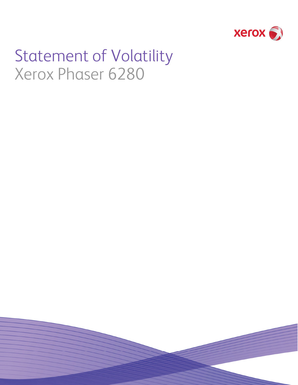

# Statement of Volatility Xerox Phaser 6280

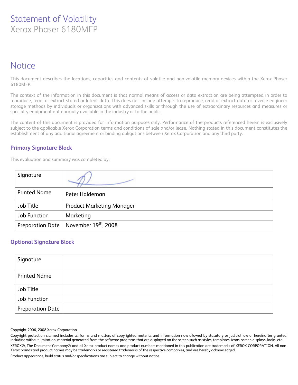## Statement of Volatility Xerox Phaser 6180MFP

## **Notice**

This document describes the locations, capacities and contents of volatile and non-volatile memory devices within the Xerox Phaser 6180MFP.

The context of the information in this document is that normal means of access or data extraction are being attempted in order to reproduce, read, or extract stored or latent data. This does not include attempts to reproduce, read or extract data or reverse engineer storage methods by individuals or organizations with advanced skills or through the use of extraordinary resources and measures or specialty equipment not normally available in the industry or to the public.

The content of this document is provided for information purposes only. Performance of the products referenced herein is exclusively subject to the applicable Xerox Corporation terms and conditions of sale and/or lease. Nothing stated in this document constitutes the establishment of any additional agreement or binding obligations between Xerox Corporation and any third party.

#### **Primary Signature Block**

This evaluation and summary was completed by:

| Signature               |                                  |
|-------------------------|----------------------------------|
| <b>Printed Name</b>     | Peter Haldeman                   |
| Job Title               | <b>Product Marketing Manager</b> |
| Job Function            | Marketing                        |
| <b>Preparation Date</b> | November 19 <sup>th</sup> , 2008 |

#### **Optional Signature Block**

| Signature               |  |
|-------------------------|--|
| <b>Printed Name</b>     |  |
| Job Title               |  |
| Job Function            |  |
| <b>Preparation Date</b> |  |

#### Copyright 2006, 2008 Xerox Corporation

Copyright protection claimed includes all forms and matters of copyrighted material and information now allowed by statutory or judicial law or hereinafter granted, including without limitation, material generated from the software programs that are displayed on the screen such as styles, templates, icons, screen displays, looks, etc. XEROX®, The Document Company® and all Xerox product names and product numbers mentioned in this publication are trademarks of XEROX CORPORATION. All non-Xerox brands and product names may be trademarks or registered trademarks of the respective companies, and are hereby acknowledged. Product appearance, build status and/or specifications are subject to change without notice.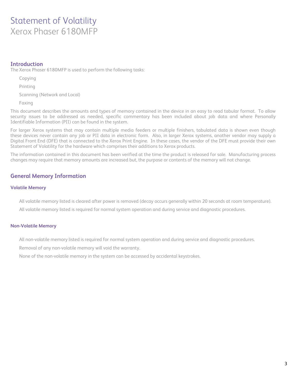## Statement of Volatility Xerox Phaser 6180MFP

#### **Introduction**

The Xerox Phaser 6180MFP is used to perform the following tasks:

Copying

Printing

Scanning (Network and Local)

Faxing

This document describes the amounts and types of memory contained in the device in an easy to read tabular format. To allow security issues to be addressed as needed, specific commentary has been included about job data and where Personally Identifiable Information (PII) can be found in the system.

For larger Xerox systems that may contain multiple media feeders or multiple finishers, tabulated data is shown even though these devices never contain any job or PII data in electronic form. Also, in larger Xerox systems, another vendor may supply a Digital Front End (DFE) that is connected to the Xerox Print Engine. In these cases, the vendor of the DFE must provide their own Statement of Volatility for the hardware which comprises their additions to Xerox products.

The information contained in this document has been verified at the time the product is released for sale. Manufacturing process changes may require that memory amounts are increased but, the purpose or contents of the memory will not change.

### **General Memory Information**

#### **Volatile Memory**

All volatile memory listed is cleared after power is removed (decay occurs generally within 20 seconds at room temperature).

All volatile memory listed is required for normal system operation and during service and diagnostic procedures.

#### **Non-Volatile Memory**

All non-volatile memory listed is required for normal system operation and during service and diagnostic procedures.

Removal of any non-volatile memory will void the warranty.

None of the non-volatile memory in the system can be accessed by accidental keystrokes.